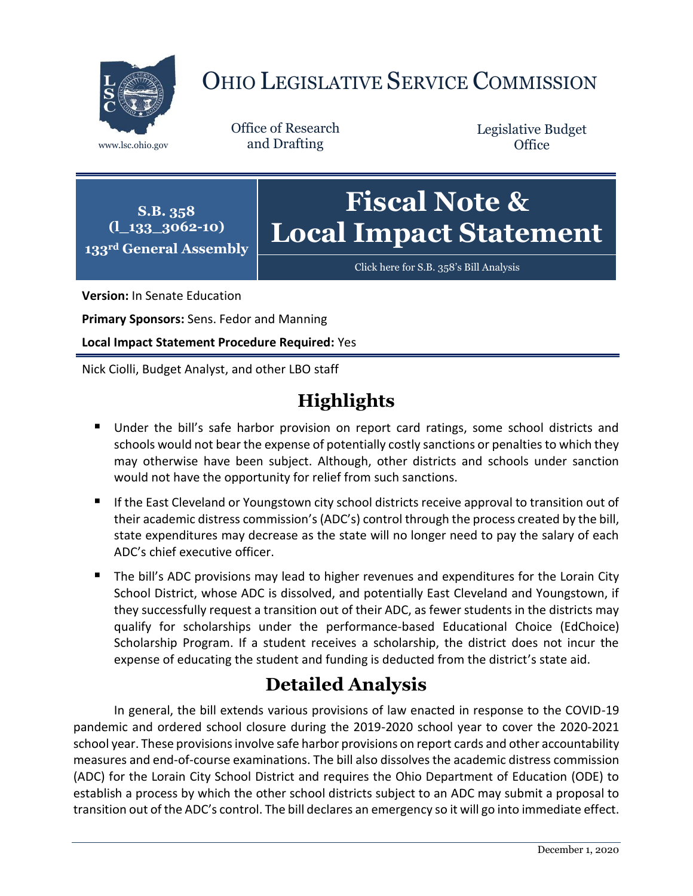

# OHIO LEGISLATIVE SERVICE COMMISSION

Office of Research www.lsc.ohio.gov and Drafting

Legislative Budget **Office** 

**S.B. 358 (l\_133\_3062-10) 133rd General Assembly Fiscal Note & Local Impact Statement**

[Click here for S.B. 358](https://www.legislature.ohio.gov/legislation/legislation-documents?id=GA133-SB-358)'s Bill Analysis

**Version:** In Senate Education

**Primary Sponsors:** Sens. Fedor and Manning

**Local Impact Statement Procedure Required:** Yes

Nick Ciolli, Budget Analyst, and other LBO staff

# **Highlights**

- Under the bill's safe harbor provision on report card ratings, some school districts and schools would not bear the expense of potentially costly sanctions or penalties to which they may otherwise have been subject. Although, other districts and schools under sanction would not have the opportunity for relief from such sanctions.
- If the East Cleveland or Youngstown city school districts receive approval to transition out of their academic distress commission's (ADC's) control through the process created by the bill, state expenditures may decrease as the state will no longer need to pay the salary of each ADC's chief executive officer.
- The bill's ADC provisions may lead to higher revenues and expenditures for the Lorain City School District, whose ADC is dissolved, and potentially East Cleveland and Youngstown, if they successfully request a transition out of their ADC, as fewer students in the districts may qualify for scholarships under the performance-based Educational Choice (EdChoice) Scholarship Program. If a student receives a scholarship, the district does not incur the expense of educating the student and funding is deducted from the district's state aid.

## **Detailed Analysis**

In general, the bill extends various provisions of law enacted in response to the COVID-19 pandemic and ordered school closure during the 2019-2020 school year to cover the 2020-2021 school year. These provisions involve safe harbor provisions on report cards and other accountability measures and end-of-course examinations. The bill also dissolves the academic distress commission (ADC) for the Lorain City School District and requires the Ohio Department of Education (ODE) to establish a process by which the other school districts subject to an ADC may submit a proposal to transition out of the ADC's control. The bill declares an emergency so it will go into immediate effect.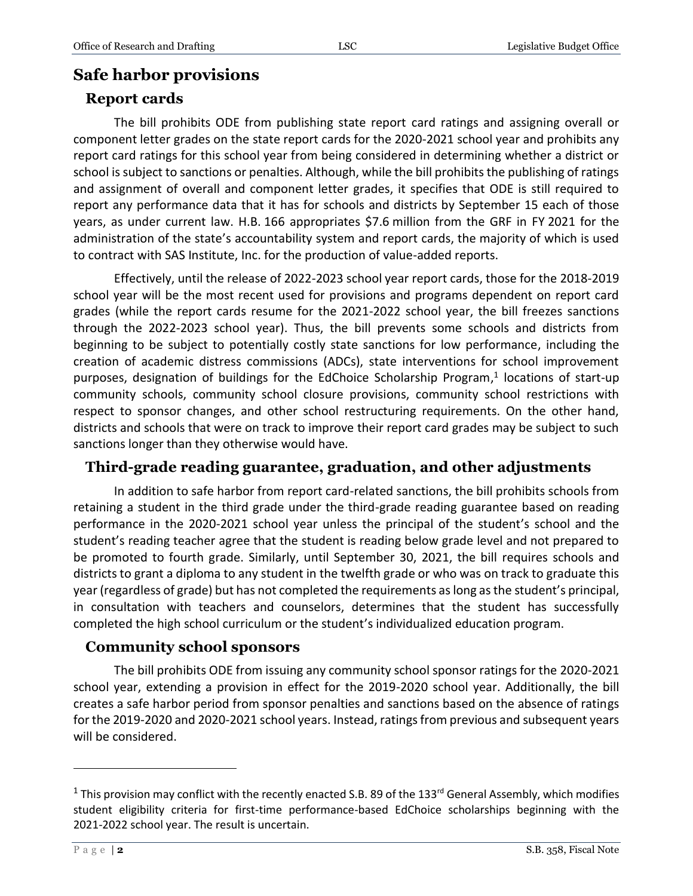### **Safe harbor provisions**

#### **Report cards**

The bill prohibits ODE from publishing state report card ratings and assigning overall or component letter grades on the state report cards for the 2020-2021 school year and prohibits any report card ratings for this school year from being considered in determining whether a district or school is subject to sanctions or penalties. Although, while the bill prohibits the publishing of ratings and assignment of overall and component letter grades, it specifies that ODE is still required to report any performance data that it has for schools and districts by September 15 each of those years, as under current law. H.B. 166 appropriates \$7.6 million from the GRF in FY 2021 for the administration of the state's accountability system and report cards, the majority of which is used to contract with SAS Institute, Inc. for the production of value-added reports.

Effectively, until the release of 2022-2023 school year report cards, those for the 2018-2019 school year will be the most recent used for provisions and programs dependent on report card grades (while the report cards resume for the 2021-2022 school year, the bill freezes sanctions through the 2022-2023 school year). Thus, the bill prevents some schools and districts from beginning to be subject to potentially costly state sanctions for low performance, including the creation of academic distress commissions (ADCs), state interventions for school improvement purposes, designation of buildings for the EdChoice Scholarship Program, 1 locations of start-up community schools, community school closure provisions, community school restrictions with respect to sponsor changes, and other school restructuring requirements. On the other hand, districts and schools that were on track to improve their report card grades may be subject to such sanctions longer than they otherwise would have.

#### **Third-grade reading guarantee, graduation, and other adjustments**

In addition to safe harbor from report card-related sanctions, the bill prohibits schools from retaining a student in the third grade under the third-grade reading guarantee based on reading performance in the 2020-2021 school year unless the principal of the student's school and the student's reading teacher agree that the student is reading below grade level and not prepared to be promoted to fourth grade. Similarly, until September 30, 2021, the bill requires schools and districts to grant a diploma to any student in the twelfth grade or who was on track to graduate this year (regardless of grade) but has not completed the requirements as long as the student's principal, in consultation with teachers and counselors, determines that the student has successfully completed the high school curriculum or the student's individualized education program.

#### **Community school sponsors**

The bill prohibits ODE from issuing any community school sponsor ratings for the 2020-2021 school year, extending a provision in effect for the 2019-2020 school year. Additionally, the bill creates a safe harbor period from sponsor penalties and sanctions based on the absence of ratings for the 2019-2020 and 2020-2021 school years. Instead, ratings from previous and subsequent years will be considered.

 $\overline{a}$ 

<sup>&</sup>lt;sup>1</sup> This provision may conflict with the recently enacted S.B. 89 of the 133<sup>rd</sup> General Assembly, which modifies student eligibility criteria for first-time performance-based EdChoice scholarships beginning with the 2021-2022 school year. The result is uncertain.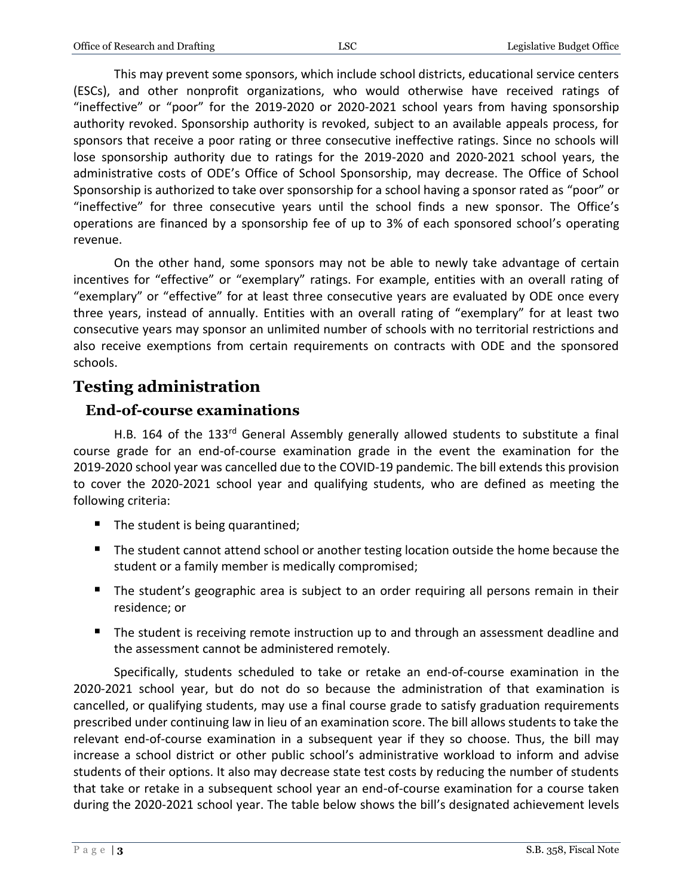This may prevent some sponsors, which include school districts, educational service centers (ESCs), and other nonprofit organizations, who would otherwise have received ratings of "ineffective" or "poor" for the 2019-2020 or 2020-2021 school years from having sponsorship authority revoked. Sponsorship authority is revoked, subject to an available appeals process, for sponsors that receive a poor rating or three consecutive ineffective ratings. Since no schools will lose sponsorship authority due to ratings for the 2019-2020 and 2020-2021 school years, the administrative costs of ODE's Office of School Sponsorship, may decrease. The Office of School Sponsorship is authorized to take over sponsorship for a school having a sponsor rated as "poor" or "ineffective" for three consecutive years until the school finds a new sponsor. The Office's operations are financed by a sponsorship fee of up to 3% of each sponsored school's operating revenue.

On the other hand, some sponsors may not be able to newly take advantage of certain incentives for "effective" or "exemplary" ratings. For example, entities with an overall rating of "exemplary" or "effective" for at least three consecutive years are evaluated by ODE once every three years, instead of annually. Entities with an overall rating of "exemplary" for at least two consecutive years may sponsor an unlimited number of schools with no territorial restrictions and also receive exemptions from certain requirements on contracts with ODE and the sponsored schools.

#### **Testing administration**

#### **End-of-course examinations**

H.B. 164 of the 133<sup>rd</sup> General Assembly generally allowed students to substitute a final course grade for an end-of-course examination grade in the event the examination for the 2019-2020 school year was cancelled due to the COVID-19 pandemic. The bill extends this provision to cover the 2020-2021 school year and qualifying students, who are defined as meeting the following criteria:

- $\blacksquare$  The student is being quarantined;
- The student cannot attend school or another testing location outside the home because the student or a family member is medically compromised;
- The student's geographic area is subject to an order requiring all persons remain in their residence; or
- **The student is receiving remote instruction up to and through an assessment deadline and** the assessment cannot be administered remotely.

Specifically, students scheduled to take or retake an end-of-course examination in the 2020-2021 school year, but do not do so because the administration of that examination is cancelled, or qualifying students, may use a final course grade to satisfy graduation requirements prescribed under continuing law in lieu of an examination score. The bill allows students to take the relevant end-of-course examination in a subsequent year if they so choose. Thus, the bill may increase a school district or other public school's administrative workload to inform and advise students of their options. It also may decrease state test costs by reducing the number of students that take or retake in a subsequent school year an end-of-course examination for a course taken during the 2020-2021 school year. The table below shows the bill's designated achievement levels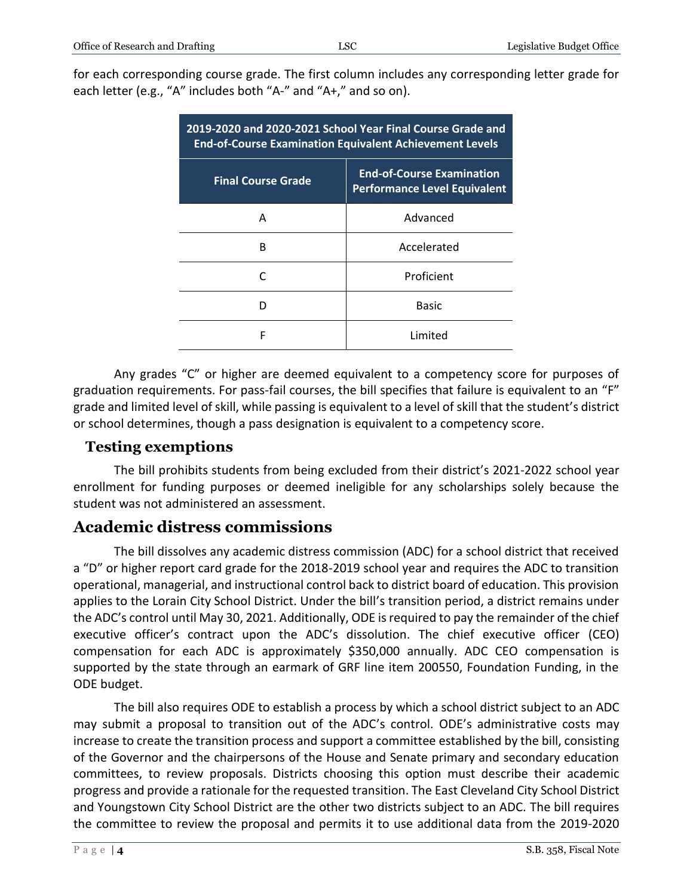| 2019-2020 and 2020-2021 School Year Final Course Grade and<br><b>End-of-Course Examination Equivalent Achievement Levels</b> |                                                                         |
|------------------------------------------------------------------------------------------------------------------------------|-------------------------------------------------------------------------|
| <b>Final Course Grade</b>                                                                                                    | <b>End-of-Course Examination</b><br><b>Performance Level Equivalent</b> |
| A                                                                                                                            | Advanced                                                                |
| R                                                                                                                            | Accelerated                                                             |
|                                                                                                                              | Proficient                                                              |
|                                                                                                                              | Basic                                                                   |
| F                                                                                                                            | Limited                                                                 |

Any grades "C" or higher are deemed equivalent to a competency score for purposes of graduation requirements. For pass-fail courses, the bill specifies that failure is equivalent to an "F" grade and limited level of skill, while passing is equivalent to a level of skill that the student's district or school determines, though a pass designation is equivalent to a competency score.

#### **Testing exemptions**

The bill prohibits students from being excluded from their district's 2021-2022 school year enrollment for funding purposes or deemed ineligible for any scholarships solely because the student was not administered an assessment.

#### **Academic distress commissions**

The bill dissolves any academic distress commission (ADC) for a school district that received a "D" or higher report card grade for the 2018-2019 school year and requires the ADC to transition operational, managerial, and instructional control back to district board of education. This provision applies to the Lorain City School District. Under the bill's transition period, a district remains under the ADC's control until May 30, 2021. Additionally, ODE is required to pay the remainder of the chief executive officer's contract upon the ADC's dissolution. The chief executive officer (CEO) compensation for each ADC is approximately \$350,000 annually. ADC CEO compensation is supported by the state through an earmark of GRF line item 200550, Foundation Funding, in the ODE budget.

The bill also requires ODE to establish a process by which a school district subject to an ADC may submit a proposal to transition out of the ADC's control. ODE's administrative costs may increase to create the transition process and support a committee established by the bill, consisting of the Governor and the chairpersons of the House and Senate primary and secondary education committees, to review proposals. Districts choosing this option must describe their academic progress and provide a rationale for the requested transition. The East Cleveland City School District and Youngstown City School District are the other two districts subject to an ADC. The bill requires the committee to review the proposal and permits it to use additional data from the 2019-2020